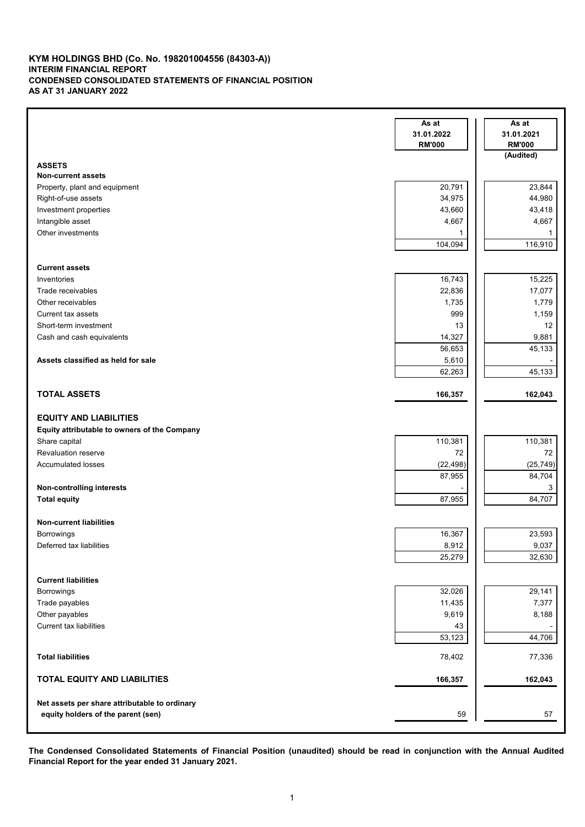#### **KYM HOLDINGS BHD (Co. No. 198201004556 (84303-A)) INTERIM FINANCIAL REPORT CONDENSED CONSOLIDATED STATEMENTS OF FINANCIAL POSITION AS AT 31 JANUARY 2022**

|                                               | As at<br>31.01.2022 | As at<br>31.01.2021 |
|-----------------------------------------------|---------------------|---------------------|
|                                               | <b>RM'000</b>       | <b>RM'000</b>       |
|                                               |                     | (Audited)           |
| <b>ASSETS</b>                                 |                     |                     |
| <b>Non-current assets</b>                     |                     |                     |
| Property, plant and equipment                 | 20,791              | 23,844              |
| Right-of-use assets                           | 34,975              | 44,980              |
| Investment properties                         | 43,660              | 43,418              |
| Intangible asset                              | 4,667               | 4,667               |
| Other investments                             | 1                   | 1                   |
|                                               | 104,094             | 116,910             |
|                                               |                     |                     |
| <b>Current assets</b>                         |                     |                     |
| Inventories                                   | 16,743              | 15,225              |
| Trade receivables                             | 22,836              | 17,077              |
| Other receivables                             | 1,735               | 1,779               |
| <b>Current tax assets</b>                     | 999                 | 1,159               |
| Short-term investment                         | 13                  | 12                  |
| Cash and cash equivalents                     | 14,327              | 9,881               |
|                                               | 56,653              | 45,133              |
| Assets classified as held for sale            | 5,610               |                     |
|                                               | 62,263              | 45,133              |
|                                               |                     |                     |
| <b>TOTAL ASSETS</b>                           | 166,357             | 162,043             |
|                                               |                     |                     |
| <b>EQUITY AND LIABILITIES</b>                 |                     |                     |
| Equity attributable to owners of the Company  |                     |                     |
| Share capital                                 | 110,381             | 110,381             |
| <b>Revaluation reserve</b>                    | 72                  | 72                  |
| <b>Accumulated losses</b>                     | (22, 498)           | (25, 749)           |
|                                               | 87,955              | 84,704              |
| Non-controlling interests                     |                     | 3                   |
| <b>Total equity</b>                           | 87,955              | 84,707              |
|                                               |                     |                     |
| <b>Non-current liabilities</b>                |                     |                     |
| Borrowings                                    | 16,367              | 23,593              |
| Deferred tax liabilities                      | 8,912               | 9,037               |
|                                               | 25,279              | 32,630              |
|                                               |                     |                     |
| <b>Current liabilities</b>                    |                     |                     |
| Borrowings                                    | 32,026              | 29,141              |
| Trade payables                                | 11,435              | 7,377               |
| Other payables                                | 9,619               | 8,188               |
| <b>Current tax liabilities</b>                | 43                  |                     |
|                                               | 53,123              | 44,706              |
|                                               |                     |                     |
| <b>Total liabilities</b>                      | 78,402              | 77,336              |
|                                               |                     |                     |
| <b>TOTAL EQUITY AND LIABILITIES</b>           | 166,357             | 162,043             |
|                                               |                     |                     |
| Net assets per share attributable to ordinary |                     |                     |
| equity holders of the parent (sen)            | 59                  | 57                  |
|                                               |                     |                     |

The Condensed Consolidated Statements of Financial Position (unaudited) should be read in conjunction with the Annual Audited **Financial Report for the year ended 31 January 2021.**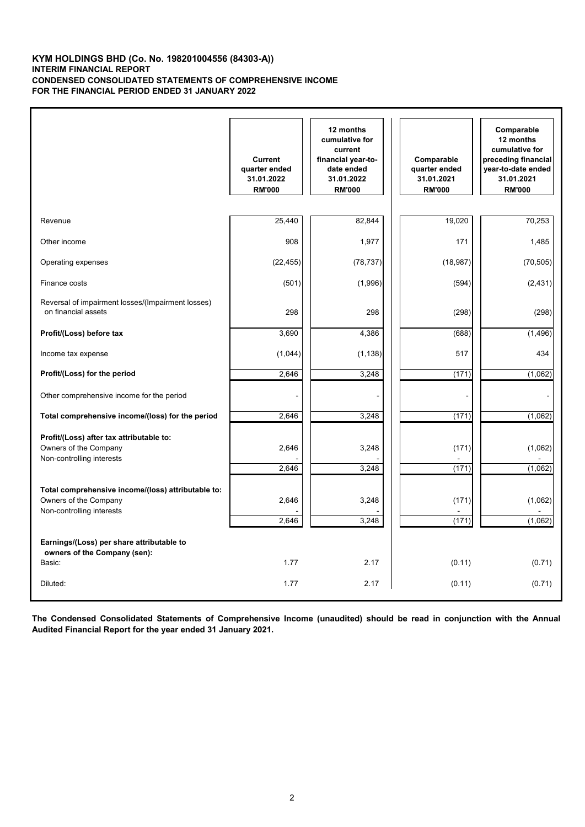### **KYM HOLDINGS BHD (Co. No. 198201004556 (84303-A)) INTERIM FINANCIAL REPORT CONDENSED CONSOLIDATED STATEMENTS OF COMPREHENSIVE INCOME FOR THE FINANCIAL PERIOD ENDED 31 JANUARY 2022**

|                                                                                                          | <b>Current</b><br>quarter ended<br>31.01.2022<br><b>RM'000</b> | 12 months<br>cumulative for<br>current<br>financial year-to-<br>date ended<br>31.01.2022<br><b>RM'000</b> | Comparable<br>quarter ended<br>31.01.2021<br><b>RM'000</b> | Comparable<br>12 months<br>cumulative for<br>preceding financial<br>year-to-date ended<br>31.01.2021<br><b>RM'000</b> |
|----------------------------------------------------------------------------------------------------------|----------------------------------------------------------------|-----------------------------------------------------------------------------------------------------------|------------------------------------------------------------|-----------------------------------------------------------------------------------------------------------------------|
| Revenue                                                                                                  | 25,440                                                         | 82,844                                                                                                    | 19,020                                                     | 70,253                                                                                                                |
| Other income                                                                                             | 908                                                            | 1,977                                                                                                     | 171                                                        | 1,485                                                                                                                 |
| Operating expenses                                                                                       | (22, 455)                                                      | (78, 737)                                                                                                 | (18, 987)                                                  | (70, 505)                                                                                                             |
| Finance costs                                                                                            | (501)                                                          | (1,996)                                                                                                   | (594)                                                      | (2, 431)                                                                                                              |
|                                                                                                          |                                                                |                                                                                                           |                                                            |                                                                                                                       |
| Reversal of impairment losses/(Impairment losses)<br>on financial assets                                 | 298                                                            | 298                                                                                                       | (298)                                                      | (298)                                                                                                                 |
| Profit/(Loss) before tax                                                                                 | 3,690                                                          | 4,386                                                                                                     | (688)                                                      | (1, 496)                                                                                                              |
| Income tax expense                                                                                       | (1,044)                                                        | (1, 138)                                                                                                  | 517                                                        | 434                                                                                                                   |
| Profit/(Loss) for the period                                                                             | 2,646                                                          | 3,248                                                                                                     | (171)                                                      | (1,062)                                                                                                               |
| Other comprehensive income for the period                                                                |                                                                |                                                                                                           |                                                            |                                                                                                                       |
| Total comprehensive income/(loss) for the period                                                         | 2,646                                                          | 3,248                                                                                                     | (171)                                                      | (1,062)                                                                                                               |
| Profit/(Loss) after tax attributable to:<br>Owners of the Company<br>Non-controlling interests           | 2,646<br>2,646                                                 | 3,248<br>3,248                                                                                            | (171)<br>(171)                                             | (1,062)<br>(1,062)                                                                                                    |
| Total comprehensive income/(loss) attributable to:<br>Owners of the Company<br>Non-controlling interests | 2,646<br>2.646                                                 | 3,248<br>3,248                                                                                            | (171)<br>(171)                                             | (1,062)<br>(1,062)                                                                                                    |
| Earnings/(Loss) per share attributable to<br>owners of the Company (sen):                                | 1.77                                                           | 2.17                                                                                                      |                                                            |                                                                                                                       |
| Basic:                                                                                                   |                                                                |                                                                                                           | (0.11)                                                     | (0.71)                                                                                                                |
| Diluted:                                                                                                 | 1.77                                                           | 2.17                                                                                                      | (0.11)                                                     | (0.71)                                                                                                                |

The Condensed Consolidated Statements of Comprehensive Income (unaudited) should be read in conjunction with the Annual **Audited Financial Report for the year ended 31 January 2021.**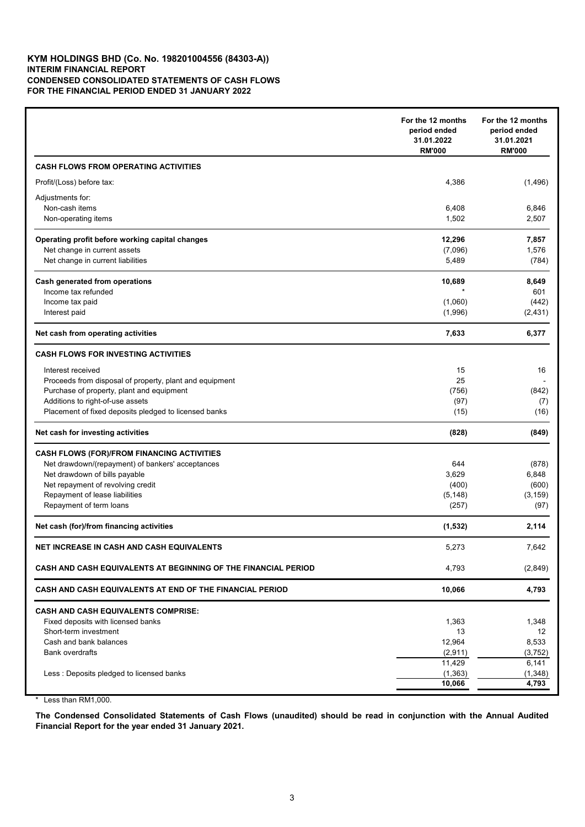### **KYM HOLDINGS BHD (Co. No. 198201004556 (84303-A)) INTERIM FINANCIAL REPORT CONDENSED CONSOLIDATED STATEMENTS OF CASH FLOWS FOR THE FINANCIAL PERIOD ENDED 31 JANUARY 2022**

|                                                                | For the 12 months<br>period ended<br>31.01.2022<br><b>RM'000</b> | For the 12 months<br>period ended<br>31.01.2021<br><b>RM'000</b> |
|----------------------------------------------------------------|------------------------------------------------------------------|------------------------------------------------------------------|
| <b>CASH FLOWS FROM OPERATING ACTIVITIES</b>                    |                                                                  |                                                                  |
| Profit/(Loss) before tax:                                      | 4,386                                                            | (1,496)                                                          |
| Adjustments for:                                               |                                                                  |                                                                  |
| Non-cash items                                                 | 6,408                                                            | 6,846                                                            |
| Non-operating items                                            | 1,502                                                            | 2,507                                                            |
| Operating profit before working capital changes                | 12,296                                                           | 7,857                                                            |
| Net change in current assets                                   | (7,096)                                                          | 1,576                                                            |
| Net change in current liabilities                              | 5,489                                                            | (784)                                                            |
| Cash generated from operations                                 | 10,689                                                           | 8,649                                                            |
| Income tax refunded                                            |                                                                  | 601                                                              |
| Income tax paid                                                | (1,060)                                                          | (442)                                                            |
| Interest paid                                                  | (1,996)                                                          | (2, 431)                                                         |
| Net cash from operating activities                             | 7,633                                                            | 6,377                                                            |
| <b>CASH FLOWS FOR INVESTING ACTIVITIES</b>                     |                                                                  |                                                                  |
| Interest received                                              | 15                                                               | 16                                                               |
| Proceeds from disposal of property, plant and equipment        | 25                                                               |                                                                  |
| Purchase of property, plant and equipment                      | (756)                                                            | (842)                                                            |
| Additions to right-of-use assets                               | (97)                                                             | (7)                                                              |
| Placement of fixed deposits pledged to licensed banks          | (15)                                                             | (16)                                                             |
| Net cash for investing activities                              | (828)                                                            | (849)                                                            |
| <b>CASH FLOWS (FOR)/FROM FINANCING ACTIVITIES</b>              |                                                                  |                                                                  |
| Net drawdown/(repayment) of bankers' acceptances               | 644                                                              | (878)                                                            |
| Net drawdown of bills payable                                  | 3,629                                                            | 6,848                                                            |
| Net repayment of revolving credit                              | (400)                                                            | (600)                                                            |
| Repayment of lease liabilities                                 | (5, 148)                                                         | (3, 159)                                                         |
| Repayment of term loans                                        | (257)                                                            | (97)                                                             |
| Net cash (for)/from financing activities                       | (1, 532)                                                         | 2,114                                                            |
| NET INCREASE IN CASH AND CASH EQUIVALENTS                      | 5,273                                                            | 7,642                                                            |
| CASH AND CASH EQUIVALENTS AT BEGINNING OF THE FINANCIAL PERIOD | 4,793                                                            | (2,849)                                                          |
| CASH AND CASH EQUIVALENTS AT END OF THE FINANCIAL PERIOD       | 10,066                                                           | 4,793                                                            |
| <b>CASH AND CASH EQUIVALENTS COMPRISE:</b>                     |                                                                  |                                                                  |
| Fixed deposits with licensed banks                             | 1,363                                                            | 1,348                                                            |
| Short-term investment                                          | 13                                                               | 12                                                               |
| Cash and bank balances                                         | 12,964                                                           | 8,533                                                            |
| <b>Bank overdrafts</b>                                         | (2,911)                                                          | (3, 752)                                                         |
|                                                                | 11,429                                                           | 6,141                                                            |
| Less : Deposits pledged to licensed banks                      | (1, 363)                                                         | (1, 348)                                                         |
|                                                                | 10,066                                                           | 4,793                                                            |

\* Less than RM1,000.

The Condensed Consolidated Statements of Cash Flows (unaudited) should be read in conjunction with the Annual Audited **Financial Report for the year ended 31 January 2021.**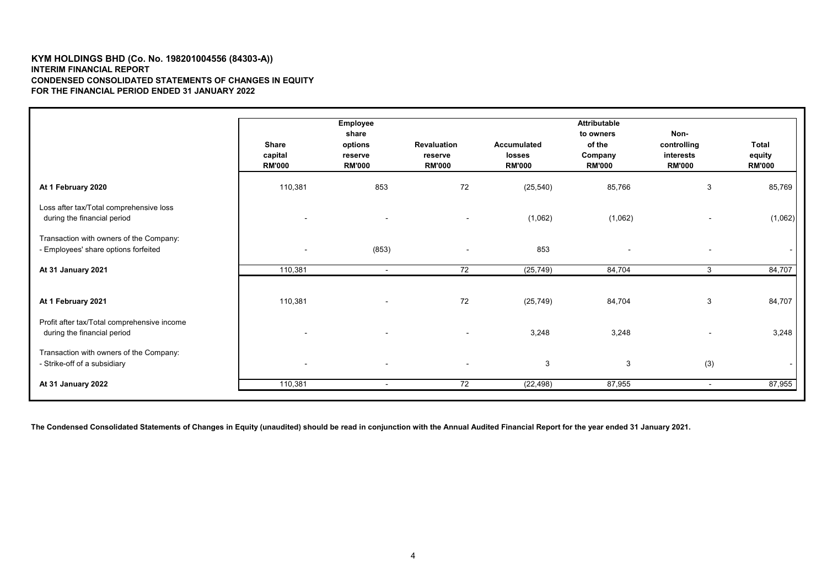#### **KYM HOLDINGS BHD (Co. No. 198201004556 (84303-A)) INTERIM FINANCIAL REPORT CONDENSED CONSOLIDATED STATEMENTS OF CHANGES IN EQUITY FOR THE FINANCIAL PERIOD ENDED 31 JANUARY 2022**

|                                                                                 | <b>Share</b><br>capital<br><b>RM'000</b> | Employee<br>share<br>options<br>reserve<br><b>RM'000</b> | <b>Revaluation</b><br>reserve<br><b>RM'000</b> | <b>Accumulated</b><br><b>losses</b><br><b>RM'000</b> | <b>Attributable</b><br>to owners<br>of the<br>Company<br><b>RM'000</b> | Non-<br>controlling<br>interests<br><b>RM'000</b> | <b>Total</b><br>equity<br><b>RM'000</b> |
|---------------------------------------------------------------------------------|------------------------------------------|----------------------------------------------------------|------------------------------------------------|------------------------------------------------------|------------------------------------------------------------------------|---------------------------------------------------|-----------------------------------------|
| At 1 February 2020                                                              | 110,381                                  | 853                                                      | 72                                             | (25, 540)                                            | 85,766                                                                 | 3                                                 | 85,769                                  |
| Loss after tax/Total comprehensive loss<br>during the financial period          |                                          | $\blacksquare$                                           | $\blacksquare$                                 | (1,062)                                              | (1,062)                                                                |                                                   | (1,062)                                 |
| Transaction with owners of the Company:<br>- Employees' share options forfeited | $\overline{\phantom{a}}$                 | (853)                                                    | $\overline{\phantom{a}}$                       | 853                                                  |                                                                        |                                                   |                                         |
| At 31 January 2021                                                              | 110,381                                  | $\blacksquare$                                           | 72                                             | (25, 749)                                            | 84,704                                                                 | 3                                                 | 84,707                                  |
| At 1 February 2021                                                              | 110,381                                  | $\overline{\phantom{a}}$                                 | 72                                             | (25, 749)                                            | 84,704                                                                 | 3                                                 | 84,707                                  |
| Profit after tax/Total comprehensive income<br>during the financial period      |                                          | $\blacksquare$                                           | $\blacksquare$                                 | 3,248                                                | 3,248                                                                  | $\blacksquare$                                    | 3,248                                   |
| Transaction with owners of the Company:<br>- Strike-off of a subsidiary         | $\overline{\phantom{a}}$                 | $\overline{\phantom{a}}$                                 | $\blacksquare$                                 | $\mathbf{3}$                                         | 3                                                                      | (3)                                               |                                         |
| At 31 January 2022                                                              | 110,381                                  | $\overline{\phantom{a}}$                                 | 72                                             | (22, 498)                                            | 87,955                                                                 | $\sim$                                            | 87,955                                  |

**The Condensed Consolidated Statements of Changes in Equity (unaudited) should be read in conjunction with the Annual Audited Financial Report for the year ended 31 January 2021.**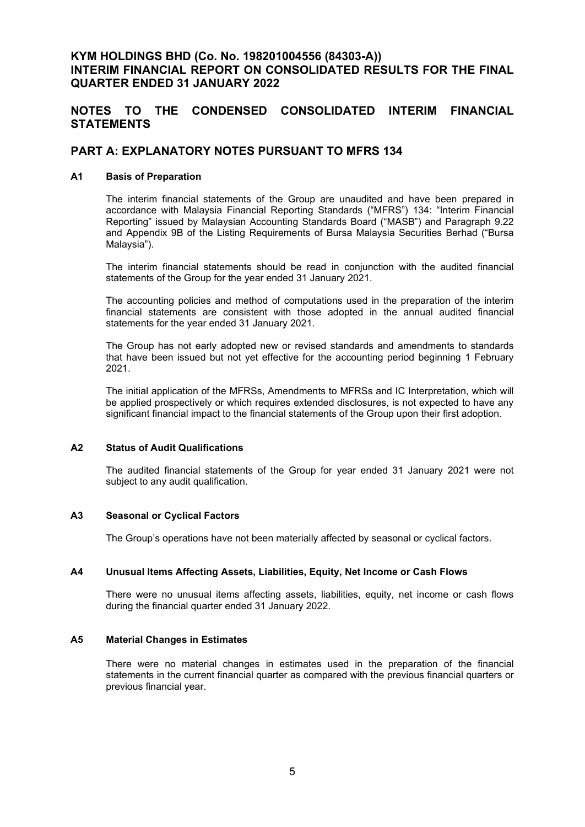# **KYM HOLDINGS BHD (Co. No. 198201004556 (84303-A)) INTERIM FINANCIAL REPORT ON CONSOLIDATED RESULTS FOR THE FINAL QUARTER ENDED 31 JANUARY 2022**

# **NOTES TO THE CONDENSED CONSOLIDATED INTERIM FINANCIAL STATEMENTS**

# **PART A: EXPLANATORY NOTES PURSUANT TO MFRS 134**

# **A1 Basis of Preparation**

The interim financial statements of the Group are unaudited and have been prepared in accordance with Malaysia Financial Reporting Standards ("MFRS") 134: "Interim Financial Reporting" issued by Malaysian Accounting Standards Board ("MASB") and Paragraph 9.22 and Appendix 9B of the Listing Requirements of Bursa Malaysia Securities Berhad ("Bursa Malaysia").

The interim financial statements should be read in conjunction with the audited financial statements of the Group for the year ended 31 January 2021.

The accounting policies and method of computations used in the preparation of the interim financial statements are consistent with those adopted in the annual audited financial statements for the year ended 31 January 2021.

The Group has not early adopted new or revised standards and amendments to standards that have been issued but not yet effective for the accounting period beginning 1 February 2021.

The initial application of the MFRSs, Amendments to MFRSs and IC Interpretation, which will be applied prospectively or which requires extended disclosures, is not expected to have any significant financial impact to the financial statements of the Group upon their first adoption.

## **A2 Status of Audit Qualifications**

The audited financial statements of the Group for year ended 31 January 2021 were not subject to any audit qualification.

### **A3 Seasonal or Cyclical Factors**

The Group's operations have not been materially affected by seasonal or cyclical factors.

### **A4 Unusual Items Affecting Assets, Liabilities, Equity, Net Income or Cash Flows**

There were no unusual items affecting assets, liabilities, equity, net income or cash flows during the financial quarter ended 31 January 2022.

# **A5 Material Changes in Estimates**

There were no material changes in estimates used in the preparation of the financial statements in the current financial quarter as compared with the previous financial quarters or previous financial year.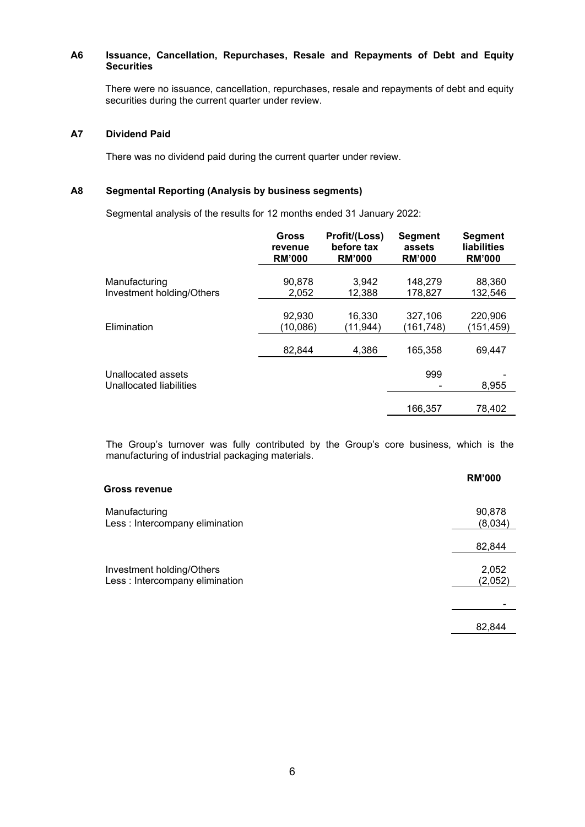## **A6 Issuance, Cancellation, Repurchases, Resale and Repayments of Debt and Equity Securities**

There were no issuance, cancellation, repurchases, resale and repayments of debt and equity securities during the current quarter under review.

# **A7 Dividend Paid**

There was no dividend paid during the current quarter under review.

## **A8 Segmental Reporting (Analysis by business segments)**

Segmental analysis of the results for 12 months ended 31 January 2022:

|                                               | <b>Gross</b>  | Profit/(Loss) | <b>Segment</b> | <b>Segment</b>     |
|-----------------------------------------------|---------------|---------------|----------------|--------------------|
|                                               | revenue       | before tax    | assets         | <b>liabilities</b> |
|                                               | <b>RM'000</b> | <b>RM'000</b> | <b>RM'000</b>  | <b>RM'000</b>      |
| Manufacturing                                 | 90,878        | 3.942         | 148,279        | 88,360             |
| Investment holding/Others                     | 2,052         | 12,388        | 178,827        | 132,546            |
| Elimination                                   | 92,930        | 16,330        | 327,106        | 220,906            |
|                                               | (10,086)      | (11,944)      | (161,748)      | (151,459)          |
|                                               | 82,844        | 4,386         | 165,358        | 69,447             |
| Unallocated assets<br>Unallocated liabilities |               |               | 999            | 8,955              |
|                                               |               |               | 166.357        | 78.402             |

The Group's turnover was fully contributed by the Group's core business, which is the manufacturing of industrial packaging materials.

**RM'000**

| <b>Gross revenue</b>                                         |                   |
|--------------------------------------------------------------|-------------------|
| Manufacturing<br>Less : Intercompany elimination             | 90,878<br>(8,034) |
|                                                              | 82,844            |
| Investment holding/Others<br>Less : Intercompany elimination | 2,052<br>(2,052)  |
|                                                              |                   |
|                                                              | 82,844            |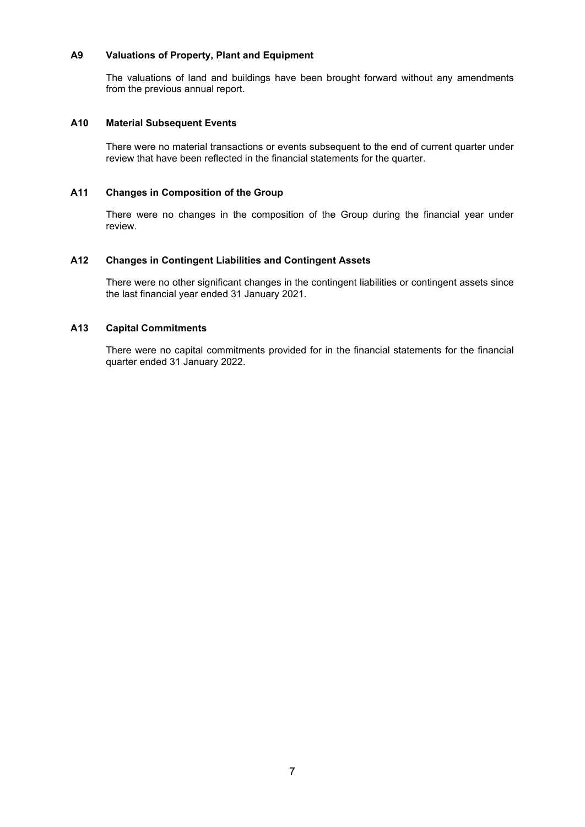## **A9 Valuations of Property, Plant and Equipment**

The valuations of land and buildings have been brought forward without any amendments from the previous annual report.

### **A10 Material Subsequent Events**

There were no material transactions or events subsequent to the end of current quarter under review that have been reflected in the financial statements for the quarter.

# **A11 Changes in Composition of the Group**

There were no changes in the composition of the Group during the financial year under review.

## **A12 Changes in Contingent Liabilities and Contingent Assets**

There were no other significant changes in the contingent liabilities or contingent assets since the last financial year ended 31 January 2021.

# **A13 Capital Commitments**

There were no capital commitments provided for in the financial statements for the financial quarter ended 31 January 2022.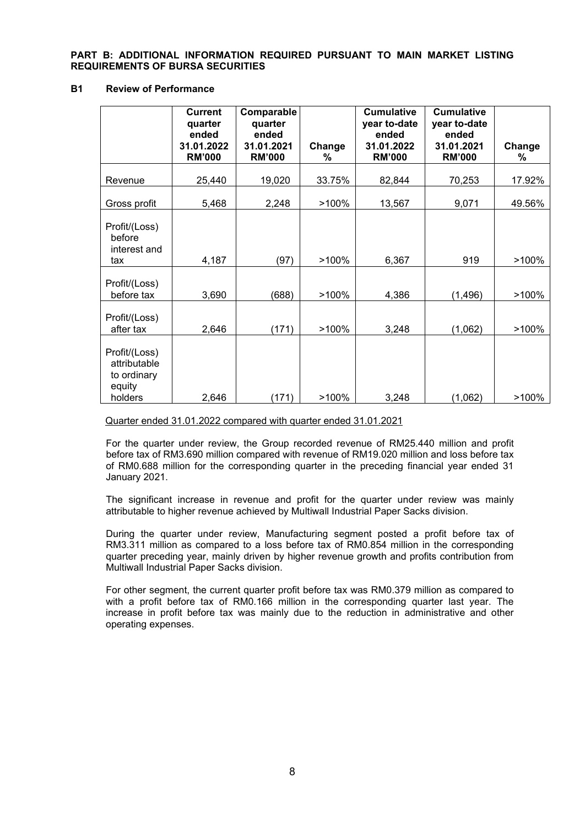## **PART B: ADDITIONAL INFORMATION REQUIRED PURSUANT TO MAIN MARKET LISTING REQUIREMENTS OF BURSA SECURITIES**

# **B1 Review of Performance**

|                                                                   | <b>Current</b><br>quarter<br>ended<br>31.01.2022<br><b>RM'000</b> | Comparable<br>quarter<br>ended<br>31.01.2021<br><b>RM'000</b> | Change<br>% | <b>Cumulative</b><br>year to-date<br>ended<br>31.01.2022<br><b>RM'000</b> | <b>Cumulative</b><br>year to-date<br>ended<br>31.01.2021<br><b>RM'000</b> | Change<br>% |
|-------------------------------------------------------------------|-------------------------------------------------------------------|---------------------------------------------------------------|-------------|---------------------------------------------------------------------------|---------------------------------------------------------------------------|-------------|
| Revenue                                                           | 25,440                                                            | 19,020                                                        | 33.75%      | 82,844                                                                    | 70,253                                                                    | 17.92%      |
|                                                                   |                                                                   |                                                               |             |                                                                           |                                                                           |             |
| Gross profit                                                      | 5,468                                                             | 2,248                                                         | >100%       | 13,567                                                                    | 9,071                                                                     | 49.56%      |
| Profit/(Loss)<br>before<br>interest and<br>tax                    | 4,187                                                             | (97)                                                          | >100%       | 6,367                                                                     | 919                                                                       | >100%       |
| Profit/(Loss)<br>before tax                                       | 3,690                                                             | (688)                                                         | >100%       | 4,386                                                                     | (1, 496)                                                                  | >100%       |
| Profit/(Loss)<br>after tax                                        | 2,646                                                             | (171)                                                         | >100%       | 3,248                                                                     | (1,062)                                                                   | >100%       |
| Profit/(Loss)<br>attributable<br>to ordinary<br>equity<br>holders | 2,646                                                             | (171)                                                         | >100%       | 3,248                                                                     | (1,062)                                                                   | >100%       |

Quarter ended 31.01.2022 compared with quarter ended 31.01.2021

For the quarter under review, the Group recorded revenue of RM25.440 million and profit before tax of RM3.690 million compared with revenue of RM19.020 million and loss before tax of RM0.688 million for the corresponding quarter in the preceding financial year ended 31 January 2021.

The significant increase in revenue and profit for the quarter under review was mainly attributable to higher revenue achieved by Multiwall Industrial Paper Sacks division.

During the quarter under review, Manufacturing segment posted a profit before tax of RM3.311 million as compared to a loss before tax of RM0.854 million in the corresponding quarter preceding year, mainly driven by higher revenue growth and profits contribution from Multiwall Industrial Paper Sacks division.

For other segment, the current quarter profit before tax was RM0.379 million as compared to with a profit before tax of RM0.166 million in the corresponding quarter last year. The increase in profit before tax was mainly due to the reduction in administrative and other operating expenses.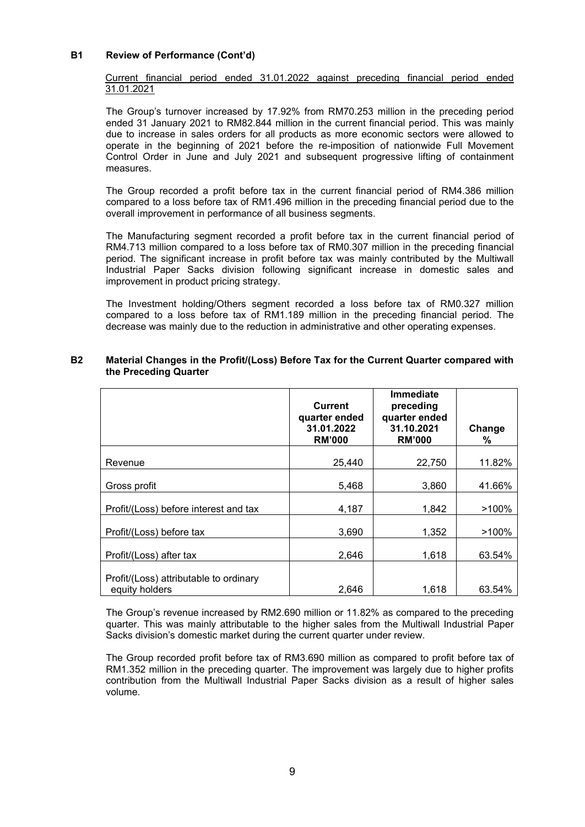## **B1 Review of Performance (Cont'd)**

Current financial period ended 31.01.2022 against preceding financial period ended 31.01.2021

The Group's turnover increased by 17.92% from RM70.253 million in the preceding period ended 31 January 2021 to RM82.844 million in the current financial period. This was mainly due to increase in sales orders for all products as more economic sectors were allowed to operate in the beginning of 2021 before the re-imposition of nationwide Full Movement Control Order in June and July 2021 and subsequent progressive lifting of containment measures.

The Group recorded a profit before tax in the current financial period of RM4.386 million compared to a loss before tax of RM1.496 million in the preceding financial period due to the overall improvement in performance of all business segments.

The Manufacturing segment recorded a profit before tax in the current financial period of RM4.713 million compared to a loss before tax of RM0.307 million in the preceding financial period. The significant increase in profit before tax was mainly contributed by the Multiwall Industrial Paper Sacks division following significant increase in domestic sales and improvement in product pricing strategy.

The Investment holding/Others segment recorded a loss before tax of RM0.327 million compared to a loss before tax of RM1.189 million in the preceding financial period. The decrease was mainly due to the reduction in administrative and other operating expenses.

|                                                          | <b>Current</b><br>quarter ended<br>31.01.2022<br><b>RM'000</b> | <b>Immediate</b><br>preceding<br>quarter ended<br>31.10.2021<br><b>RM'000</b> | Change<br>℅ |
|----------------------------------------------------------|----------------------------------------------------------------|-------------------------------------------------------------------------------|-------------|
| Revenue                                                  | 25,440                                                         | 22,750                                                                        | 11.82%      |
| Gross profit                                             | 5,468                                                          | 3,860                                                                         | 41.66%      |
| Profit/(Loss) before interest and tax                    | 4,187                                                          | 1,842                                                                         | >100%       |
| Profit/(Loss) before tax                                 | 3,690                                                          | 1,352                                                                         | >100%       |
| Profit/(Loss) after tax                                  | 2,646                                                          | 1,618                                                                         | 63.54%      |
| Profit/(Loss) attributable to ordinary<br>equity holders | 2.646                                                          | 1,618                                                                         | 63.54%      |

## **B2 Material Changes in the Profit/(Loss) Before Tax for the Current Quarter compared with the Preceding Quarter**

The Group's revenue increased by RM2.690 million or 11.82% as compared to the preceding quarter. This was mainly attributable to the higher sales from the Multiwall Industrial Paper Sacks division's domestic market during the current quarter under review.

The Group recorded profit before tax of RM3.690 million as compared to profit before tax of RM1.352 million in the preceding quarter. The improvement was largely due to higher profits contribution from the Multiwall Industrial Paper Sacks division as a result of higher sales volume.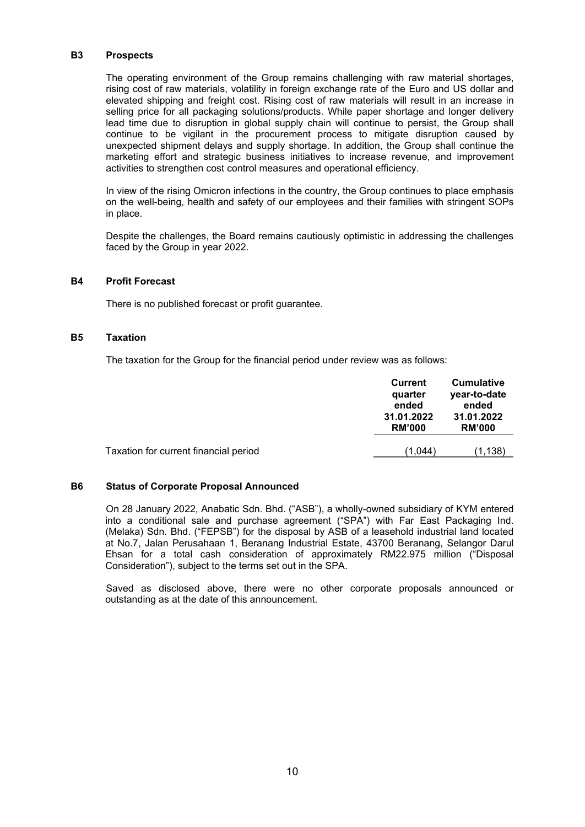#### **B3 Prospects**

The operating environment of the Group remains challenging with raw material shortages, rising cost of raw materials, volatility in foreign exchange rate of the Euro and US dollar and elevated shipping and freight cost. Rising cost of raw materials will result in an increase in selling price for all packaging solutions/products. While paper shortage and longer delivery lead time due to disruption in global supply chain will continue to persist, the Group shall continue to be vigilant in the procurement process to mitigate disruption caused by unexpected shipment delays and supply shortage. In addition, the Group shall continue the marketing effort and strategic business initiatives to increase revenue, and improvement activities to strengthen cost control measures and operational efficiency.

In view of the rising Omicron infections in the country, the Group continues to place emphasis on the well-being, health and safety of our employees and their families with stringent SOPs in place.

Despite the challenges, the Board remains cautiously optimistic in addressing the challenges faced by the Group in year 2022.

#### **B4 Profit Forecast**

There is no published forecast or profit guarantee.

#### **B5 Taxation**

The taxation for the Group for the financial period under review was as follows:

|                                       | Current<br>quarter<br>ended<br>31.01.2022<br><b>RM'000</b> | <b>Cumulative</b><br>year-to-date<br>ended<br>31.01.2022<br><b>RM'000</b> |
|---------------------------------------|------------------------------------------------------------|---------------------------------------------------------------------------|
| Taxation for current financial period | (1.044)                                                    | (1.138)                                                                   |

#### **B6 Status of Corporate Proposal Announced**

On 28 January 2022, Anabatic Sdn. Bhd. ("ASB"), a wholly-owned subsidiary of KYM entered into a conditional sale and purchase agreement ("SPA") with Far East Packaging Ind. (Melaka) Sdn. Bhd. ("FEPSB") for the disposal by ASB of a leasehold industrial land located at No.7, Jalan Perusahaan 1, Beranang Industrial Estate, 43700 Beranang, Selangor Darul Ehsan for a total cash consideration of approximately RM22.975 million ("Disposal Consideration"), subject to the terms set out in the SPA.

Saved as disclosed above, there were no other corporate proposals announced or outstanding as at the date of this announcement.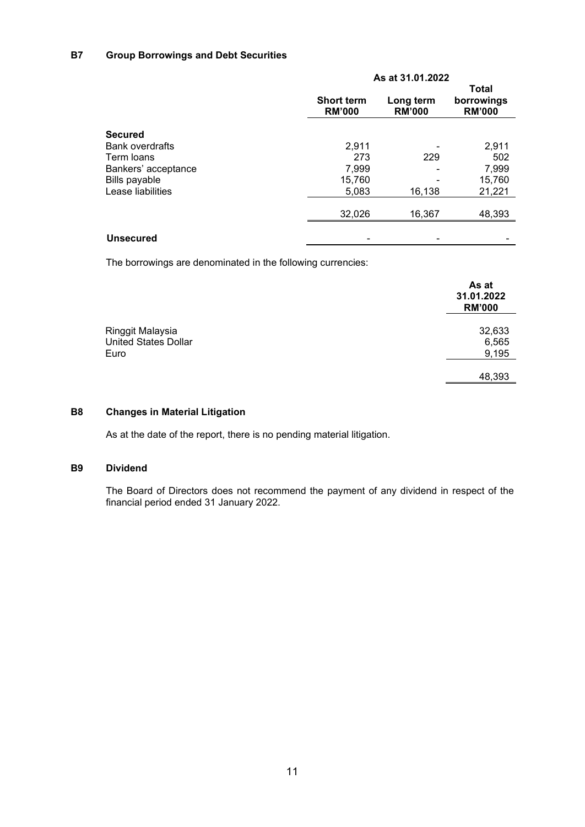# **B7 Group Borrowings and Debt Securities**

|                        | As at 31.01.2022                   |                            |                                             |  |
|------------------------|------------------------------------|----------------------------|---------------------------------------------|--|
|                        | <b>Short term</b><br><b>RM'000</b> | Long term<br><b>RM'000</b> | <b>Total</b><br>borrowings<br><b>RM'000</b> |  |
| <b>Secured</b>         |                                    |                            |                                             |  |
| <b>Bank overdrafts</b> | 2,911                              |                            | 2,911                                       |  |
| Term loans             | 273                                | 229                        | 502                                         |  |
| Bankers' acceptance    | 7,999                              |                            | 7,999                                       |  |
| <b>Bills payable</b>   | 15,760                             |                            | 15,760                                      |  |
| Lease liabilities      | 5,083                              | 16,138                     | 21,221                                      |  |
|                        | 32,026                             | 16,367                     | 48,393                                      |  |
| <b>Unsecured</b>       |                                    |                            |                                             |  |

The borrowings are denominated in the following currencies:

|                                                 | As at<br>31.01.2022<br><b>RM'000</b> |
|-------------------------------------------------|--------------------------------------|
| Ringgit Malaysia<br><b>United States Dollar</b> | 32,633<br>6,565                      |
| Euro                                            | 9,195                                |
|                                                 | 48,393                               |

# **B8 Changes in Material Litigation**

As at the date of the report, there is no pending material litigation.

# **B9 Dividend**

The Board of Directors does not recommend the payment of any dividend in respect of the financial period ended 31 January 2022.